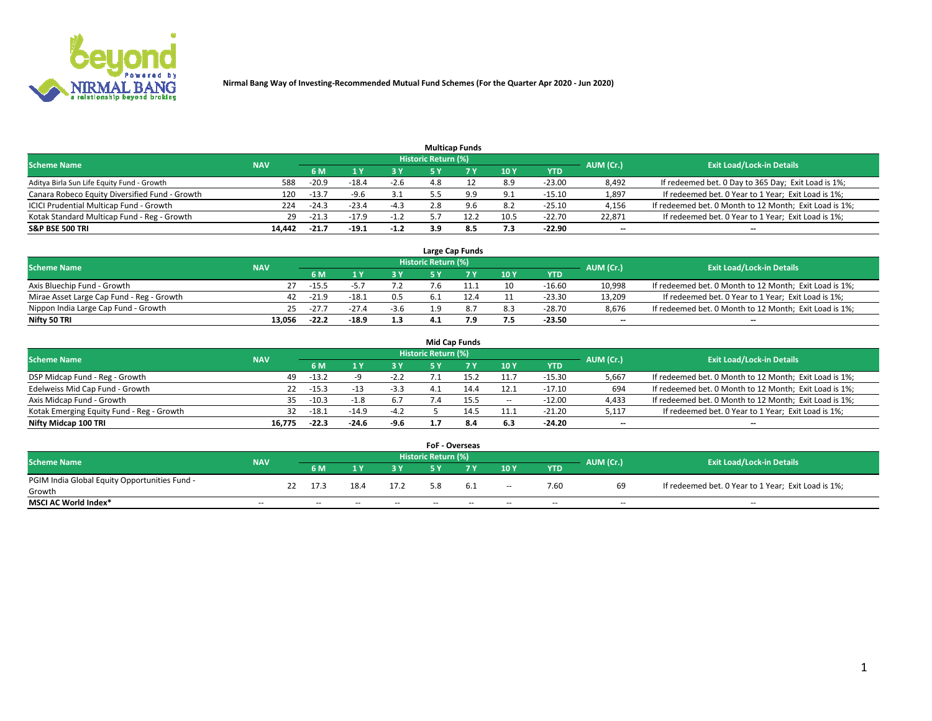

|                                                |            |         |         |        | <b>Multicap Funds</b> |      |                 |          |                          |                                                        |
|------------------------------------------------|------------|---------|---------|--------|-----------------------|------|-----------------|----------|--------------------------|--------------------------------------------------------|
| <b>Scheme Name</b>                             | <b>NAV</b> |         |         |        | Historic Return (%)   |      |                 |          | AUM (Cr.)                | <b>Exit Load/Lock-in Details</b>                       |
|                                                |            | 6 M     |         |        |                       |      | 10 <sub>1</sub> | YTD      |                          |                                                        |
| Aditya Birla Sun Life Equity Fund - Growth     | 588        | $-20.9$ | $-18.4$ | $-2.6$ | 4.8                   |      | 8.9             | $-23.00$ | 8,492                    | If redeemed bet. 0 Day to 365 Day; Exit Load is 1%;    |
| Canara Robeco Equity Diversified Fund - Growth | 120        | $-13.7$ | $-9.6$  | 3.1    |                       |      | 9.1             | $-15.10$ | 1,897                    | If redeemed bet. 0 Year to 1 Year; Exit Load is 1%;    |
| ICICI Prudential Multicap Fund - Growth        | 224        | $-24.3$ | $-23.4$ | -4.3   | 2.8                   | 9.6  | 8.2             | $-25.10$ | 4,156                    | If redeemed bet. 0 Month to 12 Month; Exit Load is 1%; |
| Kotak Standard Multicap Fund - Reg - Growth    | 29         | $-21.3$ | $-17.9$ | $-1.2$ |                       | 12.2 | 10.5            | $-22.70$ | 22.871                   | If redeemed bet. 0 Year to 1 Year; Exit Load is 1%;    |
| <b>S&amp;P BSE 500 TRI</b>                     | 14.442     | $-21.7$ | $-19.1$ | $-1.2$ | 3.9                   | 8.5  | 7.3             | $-22.90$ | $\overline{\phantom{a}}$ | $\overline{\phantom{a}}$                               |

|                                           |            |         |         |        |                     | Large Cap Funds |     |            |                          |                                                        |
|-------------------------------------------|------------|---------|---------|--------|---------------------|-----------------|-----|------------|--------------------------|--------------------------------------------------------|
| <b>Scheme Name</b>                        | <b>NAV</b> |         |         |        | Historic Return (%) |                 |     |            | AUM (Cr.)                | <b>Exit Load/Lock-in Details</b>                       |
|                                           |            | 6 M     |         | 3 Y    |                     |                 | 10Y | <b>YTD</b> |                          |                                                        |
| Axis Bluechip Fund - Growth               |            | $-15.5$ |         |        | 7.6                 |                 | 10  | -16.60     | 10.998                   | If redeemed bet. 0 Month to 12 Month; Exit Load is 1%; |
| Mirae Asset Large Cap Fund - Reg - Growth | 42         | $-21.9$ | $-18.1$ | 0.5    |                     |                 |     | $-23.30$   | 13.209                   | If redeemed bet. 0 Year to 1 Year; Exit Load is 1%;    |
| Nippon India Large Cap Fund - Growth      | 25.        | $-27.$  | $-27.4$ | $-3.6$ | 1 ດ                 |                 | 8.3 | -28.70     | 8.676                    | If redeemed bet. 0 Month to 12 Month; Exit Load is 1%; |
| Nifty 50 TRI                              | 13.056     | $-22.2$ | $-18.9$ | 1.3    |                     |                 | 7.5 | -23.50     | $\overline{\phantom{a}}$ | $\overline{\phantom{a}}$                               |

|                                           |            |         |         |        |                     | <b>Mid Cap Funds</b> |       |            |                          |                                                        |
|-------------------------------------------|------------|---------|---------|--------|---------------------|----------------------|-------|------------|--------------------------|--------------------------------------------------------|
| <b>Scheme Name</b>                        | <b>NAV</b> |         |         |        | Historic Return (%) |                      |       |            | AUM (Cr.)                | <b>Exit Load/Lock-in Details</b>                       |
|                                           |            | 6 M     |         | 3Y     |                     |                      | 10Y   | <b>YTD</b> |                          |                                                        |
| DSP Midcap Fund - Reg - Growth            | 49         | $-13.2$ |         | $-2.2$ |                     |                      | 11.7  | $-15.30$   | 5,667                    | If redeemed bet. 0 Month to 12 Month; Exit Load is 1%; |
| Edelweiss Mid Cap Fund - Growth           | 22         | $-15.3$ |         | $-3.3$ | $\mathbf{1}$        |                      | 12.1  | $-17.10$   | 694                      | If redeemed bet. 0 Month to 12 Month; Exit Load is 1%; |
| Axis Midcap Fund - Growth                 | 35.        | $-10.3$ |         | 6.7    |                     | 15.5                 | $- -$ | $-12.00$   | 4,433                    | If redeemed bet. 0 Month to 12 Month; Exit Load is 1%; |
| Kotak Emerging Equity Fund - Reg - Growth | 32         | $-18.1$ | $-14.9$ | $-4.2$ |                     | 14.5                 | 11.1  | $-21.20$   | 5,117                    | If redeemed bet. 0 Year to 1 Year; Exit Load is 1%;    |
| Nifty Midcap 100 TRI                      | 16.775     | $-22.3$ | $-24.6$ | -9.6   |                     | 8.4                  | 6.3   | $-24.20$   | $\overline{\phantom{a}}$ | $\overline{\phantom{a}}$                               |

|                                               |            |    |      |      |      | FoF - Overseas      |     |                          |            |           |                                                     |
|-----------------------------------------------|------------|----|------|------|------|---------------------|-----|--------------------------|------------|-----------|-----------------------------------------------------|
| <b>Scheme Name</b>                            | <b>NAV</b> |    |      |      |      | Historic Return (%) |     |                          |            | AUM (Cr.) | <b>Exit Load/Lock-in Details</b>                    |
|                                               |            |    | 6 M  |      |      |                     |     | 10Y                      | <b>YTD</b> |           |                                                     |
| PGIM India Global Equity Opportunities Fund - |            | つつ | 17.3 | 18.4 | 17.2 |                     | 6.1 |                          | 7.60       | 69        | If redeemed bet. 0 Year to 1 Year; Exit Load is 1%; |
| Growth                                        |            |    |      |      |      |                     |     | $\overline{\phantom{a}}$ |            |           |                                                     |
| <b>MSCI AC World Index*</b>                   | $-$        |    | $-$  | --   | $-$  | $- -$               | --  | $-$                      | $-$        | $- -$     | $-$                                                 |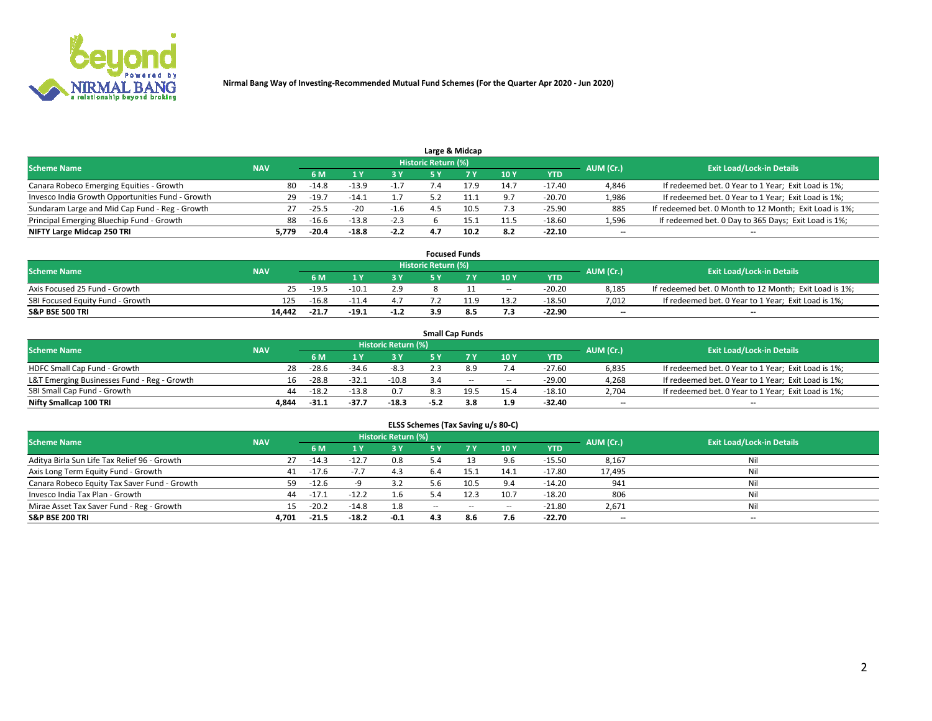

|                                                  |            |         |         |        |                     | Large & Midcap |      |            |           |                                                        |
|--------------------------------------------------|------------|---------|---------|--------|---------------------|----------------|------|------------|-----------|--------------------------------------------------------|
| <b>Scheme Name</b>                               | <b>NAV</b> |         |         |        | Historic Return (%) |                |      |            | AUM (Cr.) | <b>Exit Load/Lock-in Details</b>                       |
|                                                  |            | 6 M     |         |        |                     |                | 10Y  | <b>YTD</b> |           |                                                        |
| Canara Robeco Emerging Equities - Growth         | 80         | $-14.8$ | $-13.9$ | $-1.7$ |                     |                | 14.7 | $-17.40$   | 4,846     | If redeemed bet. 0 Year to 1 Year; Exit Load is 1%;    |
| Invesco India Growth Opportunities Fund - Growth | 29         | $-19.7$ | $-14.1$ |        |                     |                | 9.7  | $-20.70$   | 1,986     | If redeemed bet. 0 Year to 1 Year; Exit Load is 1%;    |
| Sundaram Large and Mid Cap Fund - Reg - Growth   | 27         | $-25.5$ | $-20$   | -1.6   |                     | 10.5           | 7.3  | $-25.90$   | 885       | If redeemed bet. 0 Month to 12 Month; Exit Load is 1%; |
| Principal Emerging Bluechip Fund - Growth        | 88         | $-16.6$ | $-13.8$ | $-2.3$ |                     | 15.1           | 11.5 | $-18.60$   | 1,596     | If redeemed bet. 0 Day to 365 Days; Exit Load is 1%;   |
| NIFTY Large Midcap 250 TRI                       | 5.779      | $-20.4$ | $-18.8$ | $-2.2$ |                     | 10.2           | 8.2  | $-22.10$   | $-$       | $\overline{\phantom{a}}$                               |

|                                  |            |         |         |        |                     | <b>Focused Funds</b> |       |          |                          |                                                        |
|----------------------------------|------------|---------|---------|--------|---------------------|----------------------|-------|----------|--------------------------|--------------------------------------------------------|
| <b>Scheme Name</b>               | <b>NAV</b> |         |         |        | Historic Return (%) |                      |       |          | AUM (Cr.)                | <b>Exit Load/Lock-in Details</b>                       |
|                                  |            | 6 M     |         |        |                     |                      | 10Y   | YTD      |                          |                                                        |
| Axis Focused 25 Fund - Growth    |            | $-19.5$ | $-10.1$ | 2.9    |                     |                      | $- -$ | $-20.20$ | 8,185                    | If redeemed bet. 0 Month to 12 Month; Exit Load is 1%; |
| SBI Focused Equity Fund - Growth | 125        | $-16.8$ |         |        |                     |                      | 13.2  | $-18.50$ | 7,012                    | If redeemed bet. 0 Year to 1 Year; Exit Load is 1%;    |
| <b>S&amp;P BSE 500 TRI</b>       | 14.442     | $-21.7$ | $-19.1$ | $-1.2$ |                     |                      | 7.3   | $-22.90$ | $\overline{\phantom{a}}$ | $\overline{\phantom{a}}$                               |

|                                             |                                                         |         |         |         |      | <b>Small Cap Funds</b> |       |            |           |                                                     |  |  |  |  |
|---------------------------------------------|---------------------------------------------------------|---------|---------|---------|------|------------------------|-------|------------|-----------|-----------------------------------------------------|--|--|--|--|
|                                             | Historic Return (%)<br><b>Scheme Name</b><br><b>NAV</b> |         |         |         |      |                        |       |            |           |                                                     |  |  |  |  |
|                                             |                                                         | 6 M     |         | 3 Y     |      |                        | 10Y   | <b>YTD</b> | AUM (Cr.) | <b>Exit Load/Lock-in Details</b>                    |  |  |  |  |
| HDFC Small Cap Fund - Growth                | 28                                                      | $-28.6$ | $-34.6$ | $-8.3$  |      |                        | 7.4   | $-27.60$   | 6,835     | If redeemed bet. 0 Year to 1 Year; Exit Load is 1%; |  |  |  |  |
| L&T Emerging Businesses Fund - Reg - Growth | 16                                                      | $-28.8$ | $-32.1$ | $-10.8$ | 3.4  | $\sim$                 | $- -$ | $-29.00$   | 4,268     | If redeemed bet. 0 Year to 1 Year; Exit Load is 1%; |  |  |  |  |
| SBI Small Cap Fund - Growth                 | 44                                                      | $-18.2$ | $-13.8$ | 0.7     |      | 19.5                   | 15.4  | $-18.10$   | 2.704     | If redeemed bet. 0 Year to 1 Year; Exit Load is 1%; |  |  |  |  |
| Nifty Smallcap 100 TRI                      | 4.844                                                   | $-31.1$ | -37.7   | $-18.3$ | -5.2 | 3.8                    | 1.9   | $-32.40$   | $- -$     | $\overline{\phantom{a}}$                            |  |  |  |  |

| ELSS Schemes (Tax Saving u/s 80-C)                                                                              |       |         |         |        |        |           |        |            |        |                          |  |  |  |  |
|-----------------------------------------------------------------------------------------------------------------|-------|---------|---------|--------|--------|-----------|--------|------------|--------|--------------------------|--|--|--|--|
| <b>Historic Return (%)</b><br><b>Exit Load/Lock-in Details</b><br>AUM (Cr.)<br><b>Scheme Name</b><br><b>NAV</b> |       |         |         |        |        |           |        |            |        |                          |  |  |  |  |
|                                                                                                                 |       | 6 M     |         | 3 Y    | - 5 Y  | <b>7Y</b> | 10Y    | <b>YTD</b> |        |                          |  |  |  |  |
| Aditya Birla Sun Life Tax Relief 96 - Growth                                                                    | 27    | $-14.3$ | $-12.7$ | 0.8    | 5.4    |           | 9.6    | $-15.50$   | 8,167  | Nil                      |  |  |  |  |
| Axis Long Term Equity Fund - Growth                                                                             | 41    | $-17.6$ | $-7.7$  | 4.3    | 6.4    | 15.1      | 14.1   | $-17.80$   | 17,495 | Nil                      |  |  |  |  |
| Canara Robeco Equity Tax Saver Fund - Growth                                                                    | 59 -  | $-12.6$ |         | 3.2    | 5.6    | 10.5      | 9.4    | $-14.20$   | 941    | Nil                      |  |  |  |  |
| Invesco India Tax Plan - Growth                                                                                 | 44    | $-17.1$ | $-12.2$ | 1.6    |        | 12.3      | 10.7   | $-18.20$   | 806    | Nil                      |  |  |  |  |
| Mirae Asset Tax Saver Fund - Reg - Growth                                                                       |       | $-20.2$ | $-14.8$ | 1.8    | $\sim$ | $\sim$    | $\sim$ | $-21.80$   | 2,671  | Nil                      |  |  |  |  |
| <b>S&amp;P BSE 200 TRI</b>                                                                                      | 4.701 | $-21.5$ | $-18.2$ | $-0.1$ | 4.3    | 8.6       | 7.6    | $-22.70$   | $- -$  | $\overline{\phantom{a}}$ |  |  |  |  |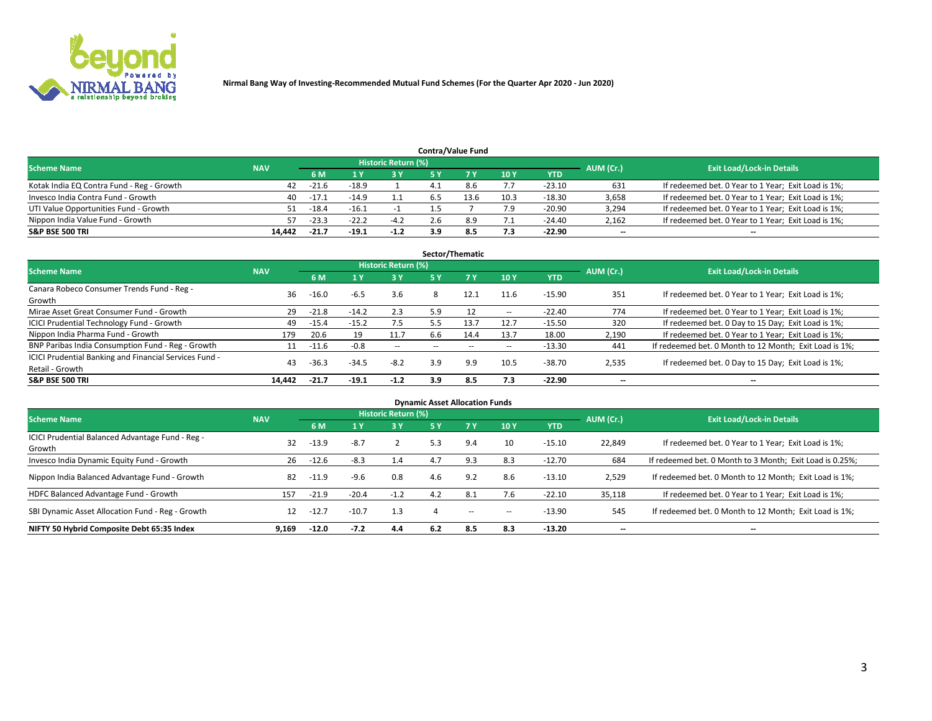

|                                           |            |                                  |         |        |     | <b>Contra/Value Fund</b> |      |            |       |                                                     |
|-------------------------------------------|------------|----------------------------------|---------|--------|-----|--------------------------|------|------------|-------|-----------------------------------------------------|
| <b>Scheme Name</b>                        | AUM (Cr.)  | <b>Exit Load/Lock-in Details</b> |         |        |     |                          |      |            |       |                                                     |
|                                           | <b>NAV</b> | 6 M                              |         | 2 V    |     |                          | 10Y  | <b>YTD</b> |       |                                                     |
| Kotak India EQ Contra Fund - Reg - Growth | 42         | -21.6                            | $-18.9$ |        |     | 8.6                      | 7.7  | $-23.10$   | 631   | If redeemed bet. 0 Year to 1 Year; Exit Load is 1%; |
| Invesco India Contra Fund - Growth        | 40         | $-17.1$                          | $-14.9$ |        |     | 13.6                     | 10.3 | $-18.30$   | 3,658 | If redeemed bet. 0 Year to 1 Year; Exit Load is 1%; |
| UTI Value Opportunities Fund - Growth     | 51         | $-18.4$                          | $-16.1$ |        |     |                          | 7.9  | $-20.90$   | 3,294 | If redeemed bet. 0 Year to 1 Year; Exit Load is 1%; |
| Nippon India Value Fund - Growth          | 57         | $-23.3$                          | $-22.2$ | $-4.2$ | 2.6 |                          | 7.1  | $-24.40$   | 2,162 | If redeemed bet. 0 Year to 1 Year; Exit Load is 1%; |
| <b>S&amp;P BSE 500 TRI</b>                | 14.442     | $-21.7$                          | $-19.1$ | $-1.2$ | 3.9 |                          | 7.3  | $-22.90$   | $- -$ | $\sim$                                              |

| Sector/Thematic                                                           |            |         |         |                            |     |      |        |          |                          |                                                        |  |  |  |
|---------------------------------------------------------------------------|------------|---------|---------|----------------------------|-----|------|--------|----------|--------------------------|--------------------------------------------------------|--|--|--|
| <b>Scheme Name</b>                                                        | <b>NAV</b> |         |         | <b>Historic Return (%)</b> |     |      |        |          | AUM (Cr.)                | <b>Exit Load/Lock-in Details</b>                       |  |  |  |
|                                                                           |            | 6 M     |         | 3 Y                        | 5 Y |      | 10Y    | YTD      |                          |                                                        |  |  |  |
| Canara Robeco Consumer Trends Fund - Reg -<br>Growth                      | 36         | $-16.0$ | $-6.5$  | 3.6                        | 8   | 12.1 | 11.6   | $-15.90$ | 351                      | If redeemed bet. 0 Year to 1 Year; Exit Load is 1%;    |  |  |  |
| Mirae Asset Great Consumer Fund - Growth                                  | 29         | $-21.8$ | $-14.2$ | 2.3                        | 5.9 |      | $\sim$ | $-22.40$ | 774                      | If redeemed bet. 0 Year to 1 Year; Exit Load is 1%;    |  |  |  |
| <b>ICICI Prudential Technology Fund - Growth</b>                          | 49         | $-15.4$ | $-15.2$ | 7.5                        | 5.5 | 13.7 | 12.7   | $-15.50$ | 320                      | If redeemed bet. 0 Day to 15 Day; Exit Load is 1%;     |  |  |  |
| Nippon India Pharma Fund - Growth                                         | 179        | 20.6    | 19      | 11.7                       | 6.6 | 14.4 | 13.7   | 18.00    | 2,190                    | If redeemed bet. 0 Year to 1 Year; Exit Load is 1%;    |  |  |  |
| BNP Paribas India Consumption Fund - Reg - Growth                         |            | $-11.6$ | $-0.8$  | $\sim$                     |     |      | $\sim$ | $-13.30$ | 441                      | If redeemed bet. 0 Month to 12 Month; Exit Load is 1%; |  |  |  |
| ICICI Prudential Banking and Financial Services Fund -<br>Retail - Growth | 43         | $-36.3$ | $-34.5$ | $-8.2$                     | 3.9 | 9.9  | 10.5   | $-38.70$ | 2,535                    | If redeemed bet. 0 Day to 15 Day; Exit Load is 1%;     |  |  |  |
| <b>S&amp;P BSE 500 TRI</b>                                                | 14.442     | $-21.7$ | $-19.1$ | $-1.2$                     | 3.9 | 8.5  | 7.3    | $-22.90$ | $\overline{\phantom{a}}$ | $\overline{\phantom{a}}$                               |  |  |  |

| <b>Dynamic Asset Allocation Funds</b>                      |            |         |         |                            |            |     |        |            |           |                                                          |  |  |  |
|------------------------------------------------------------|------------|---------|---------|----------------------------|------------|-----|--------|------------|-----------|----------------------------------------------------------|--|--|--|
| <b>Scheme Name</b>                                         | <b>NAV</b> |         |         | <b>Historic Return (%)</b> |            |     |        |            | AUM (Cr.) | <b>Exit Load/Lock-in Details</b>                         |  |  |  |
|                                                            |            | 6 M     |         | 3 Y                        | <b>5 Y</b> |     | 10Y    | <b>YTD</b> |           |                                                          |  |  |  |
| ICICI Prudential Balanced Advantage Fund - Reg -<br>Growth | 32         | $-13.9$ | $-8.7$  |                            | 5.3        | 9.4 | 10     | $-15.10$   | 22,849    | If redeemed bet. 0 Year to 1 Year; Exit Load is 1%;      |  |  |  |
| Invesco India Dynamic Equity Fund - Growth                 | 26         | $-12.6$ | $-8.3$  | 1.4                        | 4.7        | 9.3 | 8.3    | $-12.70$   | 684       | If redeemed bet. 0 Month to 3 Month; Exit Load is 0.25%; |  |  |  |
| Nippon India Balanced Advantage Fund - Growth              | 82         | $-11.9$ | $-9.6$  | 0.8                        | 4.6        | 9.2 | 8.6    | $-13.10$   | 2,529     | If redeemed bet. 0 Month to 12 Month; Exit Load is 1%;   |  |  |  |
| HDFC Balanced Advantage Fund - Growth                      | 157        | $-21.9$ | $-20.4$ | $-1.2$                     | 4.2        | 8.1 | 7.6    | $-22.10$   | 35,118    | If redeemed bet. 0 Year to 1 Year; Exit Load is 1%;      |  |  |  |
| SBI Dynamic Asset Allocation Fund - Reg - Growth           | 12         | $-12.7$ | $-10.7$ | 1.3                        |            | $-$ | $\sim$ | $-13.90$   | 545       | If redeemed bet. 0 Month to 12 Month; Exit Load is 1%;   |  |  |  |
| NIFTY 50 Hybrid Composite Debt 65:35 Index                 | 9.169      | $-12.0$ | $-7.2$  | 4.4                        | 6.2        | 8.5 | 8.3    | $-13.20$   |           | $\overline{\phantom{a}}$                                 |  |  |  |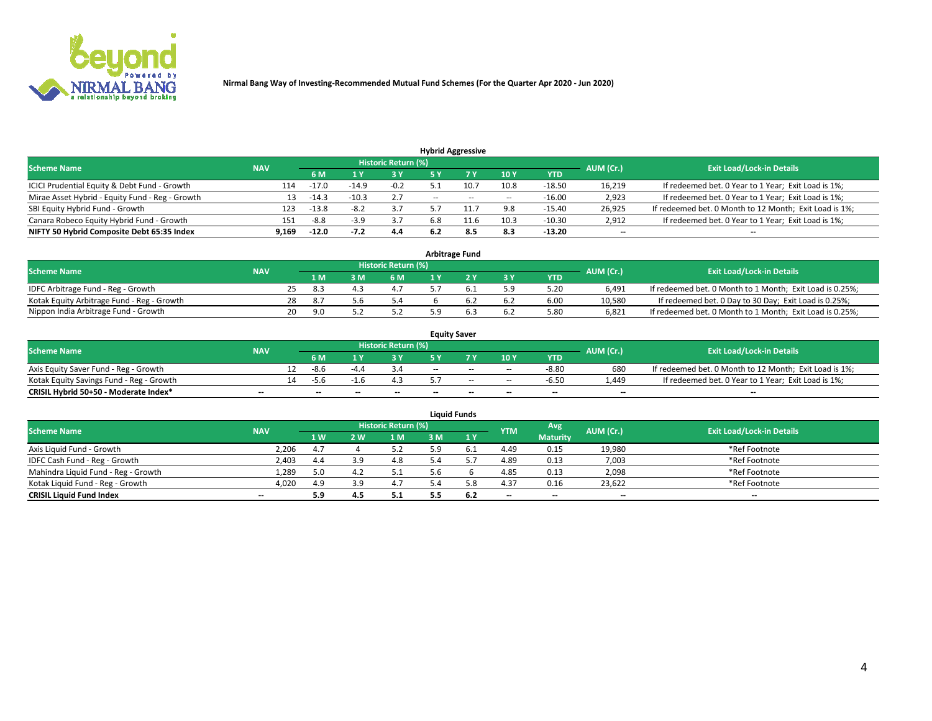

|                                                 |            |         |         |                            |                          | <b>Hybrid Aggressive</b> |        |            |           |                                                        |
|-------------------------------------------------|------------|---------|---------|----------------------------|--------------------------|--------------------------|--------|------------|-----------|--------------------------------------------------------|
| <b>Scheme Name</b>                              | <b>NAV</b> |         |         | <b>Historic Return (%)</b> |                          |                          |        |            | AUM (Cr.) | <b>Exit Load/Lock-in Details</b>                       |
|                                                 |            | 6 M     |         | 73 V                       |                          |                          | 10Y    | <b>YTD</b> |           |                                                        |
| ICICI Prudential Equity & Debt Fund - Growth    | 114        | $-17.0$ | $-14.9$ | $-0.2$                     |                          | 10.7                     | 10.8   | $-18.50$   | 16,219    | If redeemed bet. 0 Year to 1 Year; Exit Load is 1%;    |
| Mirae Asset Hybrid - Equity Fund - Reg - Growth | 13         | $-14.3$ | $-10.3$ | 2.7                        | $\overline{\phantom{a}}$ | $\sim$                   | $\sim$ | $-16.00$   | 2,923     | If redeemed bet. 0 Year to 1 Year; Exit Load is 1%;    |
| SBI Equity Hybrid Fund - Growth                 | 123        | $-13.8$ | $-8.2$  | 3.7                        |                          | 11.7                     | 9.8    | $-15.40$   | 26,925    | If redeemed bet. 0 Month to 12 Month; Exit Load is 1%; |
| Canara Robeco Equity Hybrid Fund - Growth       | 151        | -8.8    |         | 3.7                        | 6.8                      |                          | 10.3   | $-10.30$   | 2,912     | If redeemed bet. 0 Year to 1 Year; Exit Load is 1%;    |
| NIFTY 50 Hybrid Composite Debt 65:35 Index      | 9,169      | $-12.0$ | $-7.2$  | 4.4                        |                          | 8.5                      | 8.3    | $-13.20$   | $- -$     | $\overline{\phantom{a}}$                               |

| <b>Arbitrage Fund</b>                      |            |    |     |    |                            |  |  |       |            |           |                                                          |  |  |
|--------------------------------------------|------------|----|-----|----|----------------------------|--|--|-------|------------|-----------|----------------------------------------------------------|--|--|
| <b>Scheme Name</b>                         | <b>NAV</b> |    |     |    | <b>Historic Return (%)</b> |  |  |       |            | AUM (Cr.) | <b>Exit Load/Lock-in Details</b>                         |  |  |
|                                            |            |    | 1 M | ιM | 6 M                        |  |  | $-3V$ | <b>YTD</b> |           |                                                          |  |  |
| IDFC Arbitrage Fund - Reg - Growth         |            |    | 8.3 |    | 4.1                        |  |  | 5.9   | 5.20       | 6.491     | If redeemed bet. 0 Month to 1 Month; Exit Load is 0.25%; |  |  |
| Kotak Equity Arbitrage Fund - Reg - Growth |            | 28 | 8.7 |    | 5.4                        |  |  |       | 6.00       | 10.580    | If redeemed bet. 0 Day to 30 Day; Exit Load is 0.25%;    |  |  |
| Nippon India Arbitrage Fund - Growth       |            | 20 | 9.C |    |                            |  |  |       | 5.80       | 6.821     | If redeemed bet. 0 Month to 1 Month; Exit Load is 0.25%; |  |  |

| <b>Equity Saver</b>                      |            |    |      |        |                     |       |        |        |            |                          |                                                        |  |  |
|------------------------------------------|------------|----|------|--------|---------------------|-------|--------|--------|------------|--------------------------|--------------------------------------------------------|--|--|
| <b>Scheme Name</b>                       | <b>NAV</b> |    |      |        | Historic Return (%) |       |        |        |            | AUM (Cr.)                | <b>Exit Load/Lock-in Details</b>                       |  |  |
|                                          |            |    | 6 M  |        | o v                 |       |        | 10Y    | <b>YTD</b> |                          |                                                        |  |  |
| Axis Equity Saver Fund - Reg - Growth    |            | 12 | -8.6 | $-4.4$ |                     | $- -$ | $-$    | $\sim$ | $-8.80$    | 680                      | If redeemed bet. 0 Month to 12 Month; Exit Load is 1%; |  |  |
| Kotak Equity Savings Fund - Reg - Growth |            | 14 | -5.6 |        |                     |       | $\sim$ | $\sim$ | $-6.50$    | 4.449.                   | If redeemed bet. 0 Year to 1 Year; Exit Load is 1%;    |  |  |
| CRISIL Hybrid 50+50 - Moderate Index*    | $- -$      |    | --   | --     | $-$                 | $- -$ | $\sim$ | $-$    | $-$        | $\overline{\phantom{a}}$ | $-$                                                    |  |  |

| <b>Liquid Funds</b>                 |                          |           |     |                            |    |        |            |                 |           |                                  |  |  |  |
|-------------------------------------|--------------------------|-----------|-----|----------------------------|----|--------|------------|-----------------|-----------|----------------------------------|--|--|--|
| <b>Scheme Name</b>                  | <b>NAV</b>               |           |     | <b>Historic Return (%)</b> |    |        | <b>YTM</b> | Avg             | AUM (Cr.) | <b>Exit Load/Lock-in Details</b> |  |  |  |
|                                     |                          | <b>1W</b> | 2 W | 1 M                        | ١M | 1 V    |            | <b>Maturity</b> |           |                                  |  |  |  |
| Axis Liquid Fund - Growth           | 2,206                    | 4.7       |     |                            |    | . F. 1 | 4.49       | 0.15            | 19,980    | *Ref Footnote                    |  |  |  |
| IDFC Cash Fund - Reg - Growth       | 2,403                    | 4.4       |     | 4.8                        |    |        | 4.89       | 0.13            | 7,003     | *Ref Footnote                    |  |  |  |
| Mahindra Liquid Fund - Reg - Growth | 1,289                    | 5.0       |     | 5.1                        |    |        | 4.85       | 0.13            | 2,098     | *Ref Footnote                    |  |  |  |
| Kotak Liguid Fund - Reg - Growth    | 4,020                    | 4.9       | 3.9 | 4.7                        |    | 5.8    | 4.37       | 0.16            | 23.622    | *Ref Footnote                    |  |  |  |
| <b>CRISIL Liquid Fund Index</b>     | $\overline{\phantom{a}}$ | 5.9       | 4.5 | 5.1                        |    | 6.2    | $-$        | $- -$           | $- -$     | $- -$                            |  |  |  |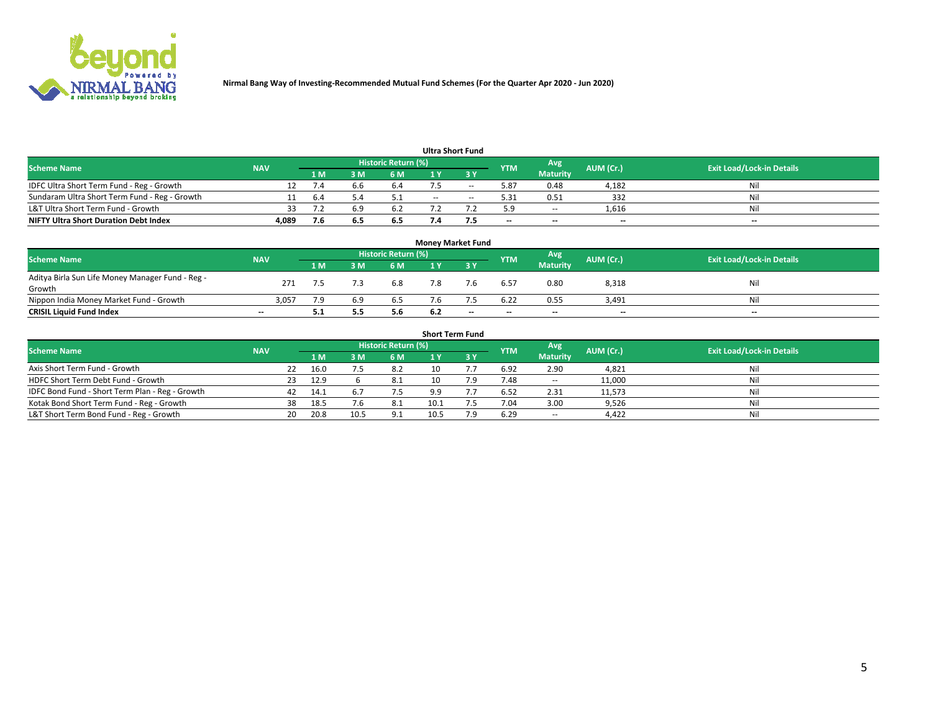

| <b>Ultra Short Fund</b>                       |            |     |     |                            |     |     |            |                 |           |                                  |  |  |  |  |
|-----------------------------------------------|------------|-----|-----|----------------------------|-----|-----|------------|-----------------|-----------|----------------------------------|--|--|--|--|
| <b>Scheme Name</b>                            | <b>NAV</b> |     |     | <b>Historic Return (%)</b> |     |     | <b>YTM</b> | Avg             | AUM (Cr.) | <b>Exit Load/Lock-in Details</b> |  |  |  |  |
|                                               |            | 1 M | 8 M | 6 M                        |     | י כ |            | <b>Maturity</b> |           |                                  |  |  |  |  |
| IDFC Ultra Short Term Fund - Reg - Growth     |            |     |     | 6.4                        |     | --  | 5.87       | 0.48            | 4,182     | Nil                              |  |  |  |  |
| Sundaram Ultra Short Term Fund - Reg - Growth |            | 6.4 |     |                            | $-$ | $-$ | 5.31       | 0.51            | 332       | Nil                              |  |  |  |  |
| L&T Ultra Short Term Fund - Growth            |            |     |     | 6.2                        |     |     | 5.9        | $\sim$          | 1,616     | Nil                              |  |  |  |  |
| <b>NIFTY Ultra Short Duration Debt Index</b>  | 4,089      | 7.6 | 6.5 | 6.5                        |     |     | $-$        | $-$             | $- -$     | $- -$                            |  |  |  |  |

| <b>Money Market Fund</b>                         |                          |     |     |                            |     |                          |            |                 |           |                                  |  |  |  |  |
|--------------------------------------------------|--------------------------|-----|-----|----------------------------|-----|--------------------------|------------|-----------------|-----------|----------------------------------|--|--|--|--|
| <b>Scheme Name</b>                               | <b>NAV</b>               |     |     | <b>Historic Return (%)</b> |     |                          | <b>YTM</b> | Avg             | AUM (Cr.) | <b>Exit Load/Lock-in Details</b> |  |  |  |  |
|                                                  |                          | 1 M | B M | 6 M                        |     | י כ                      |            | <b>Maturity</b> |           |                                  |  |  |  |  |
| Aditya Birla Sun Life Money Manager Fund - Reg - | 271                      |     |     | 6.8                        | 7.8 | 7.6                      | 6.57       | 0.80            | 8,318     | Nil                              |  |  |  |  |
| Growth                                           |                          |     |     |                            |     |                          |            |                 |           |                                  |  |  |  |  |
| Nippon India Money Market Fund - Growth          | 3,057                    |     | 69  | 6.5                        |     |                          | 6.22       | 0.55            | 3.491     | Nil                              |  |  |  |  |
| <b>CRISIL Liquid Fund Index</b>                  | $\overline{\phantom{a}}$ | 5.1 | 5.5 | 5.6                        | 6.2 | $\overline{\phantom{a}}$ | $-$        | $-$             | $- -$     | $-$                              |  |  |  |  |

| <b>Short Term Fund</b>                          |            |     |      |      |                            |      |     |            |                 |           |                                  |  |  |
|-------------------------------------------------|------------|-----|------|------|----------------------------|------|-----|------------|-----------------|-----------|----------------------------------|--|--|
| <b>Scheme Name</b>                              | <b>NAV</b> |     |      |      | <b>Historic Return (%)</b> |      |     | <b>YTM</b> | Avg             | AUM (Cr.) | <b>Exit Load/Lock-in Details</b> |  |  |
|                                                 |            |     | 1 M  | 3 M  | 6 M                        |      |     |            | <b>Maturity</b> |           |                                  |  |  |
| Axis Short Term Fund - Growth                   |            | 22  | 16.0 |      | 8.2                        | 10   |     | 6.92       | 2.90            | 4,821     | Nil                              |  |  |
| HDFC Short Term Debt Fund - Growth              |            | 23  | 12.9 |      | 8.1                        | 10   |     | 7.48       | $\sim$          | 11,000    | Nil                              |  |  |
| IDFC Bond Fund - Short Term Plan - Reg - Growth |            | 42  | 14.1 |      | 7.5                        | 9.9  |     | 6.52       | 2.31            | 11,573    | Nil                              |  |  |
| Kotak Bond Short Term Fund - Reg - Growth       |            | 38  | 18.5 | '.6  | 8.1                        | 10.1 |     | 7.04       | 3.00            | 9,526     | Nil                              |  |  |
| L&T Short Term Bond Fund - Reg - Growth         |            | 20. | 20.8 | 10.5 | 9.1                        |      | 7.9 | 6.29       | $\sim$          | 4,422     | Nil                              |  |  |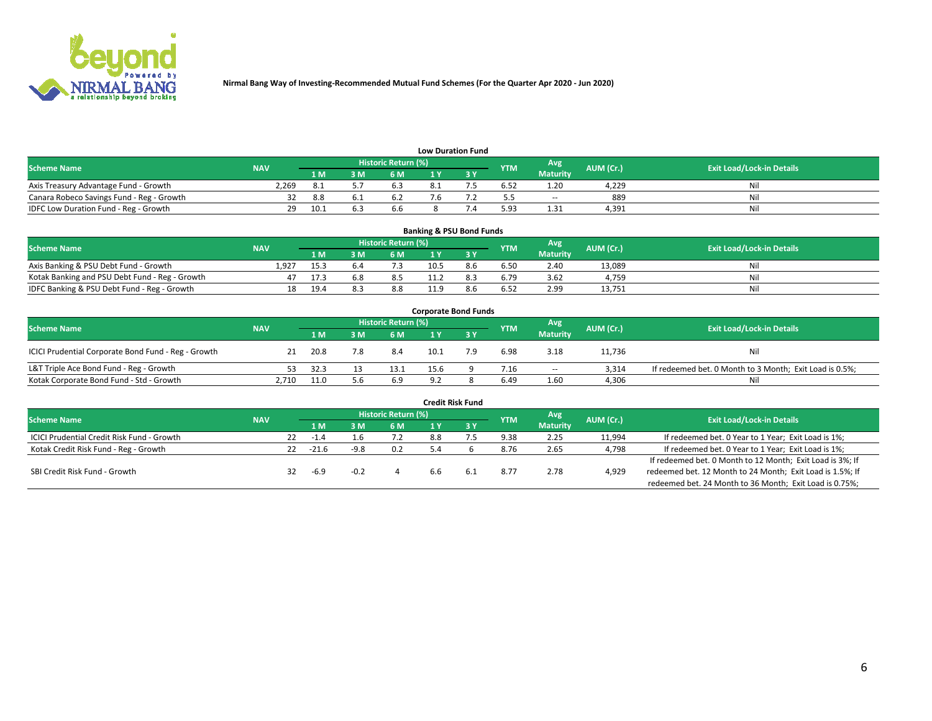

| <b>Low Duration Fund</b>                  |            |       |     |                            |  |     |            |                 |           |                                  |  |  |  |
|-------------------------------------------|------------|-------|-----|----------------------------|--|-----|------------|-----------------|-----------|----------------------------------|--|--|--|
| <b>Scheme Name</b>                        | <b>NAV</b> |       |     | <b>Historic Return (%)</b> |  |     | <b>YTM</b> | Avg             | AUM (Cr.) | <b>Exit Load/Lock-in Details</b> |  |  |  |
|                                           |            | 1 M . | 3 M | 6 M                        |  | י פ |            | <b>Maturity</b> |           |                                  |  |  |  |
| Axis Treasury Advantage Fund - Growth     | 2.269      |       |     | 6.3                        |  |     | 6.52       | 1.20            | 4.229     | Nil                              |  |  |  |
| Canara Robeco Savings Fund - Reg - Growth |            | 8.8   |     | ь.                         |  |     |            | $\sim$          | 889       | Nil                              |  |  |  |
| IDFC Low Duration Fund - Reg - Growth     | 29         | 10.1  |     | 6.6                        |  |     | 5.93       | 1.31            | 4.391     | Nil                              |  |  |  |

| <b>Banking &amp; PSU Bond Funds</b>            |            |      |     |                     |      |     |            |                        |           |                                  |  |  |  |
|------------------------------------------------|------------|------|-----|---------------------|------|-----|------------|------------------------|-----------|----------------------------------|--|--|--|
| <b>Scheme Name</b>                             | <b>NAV</b> |      |     | Historic Return (%) |      |     | <b>YTM</b> | Avg<br><b>Maturity</b> | AUM (Cr.) | <b>Exit Load/Lock-in Details</b> |  |  |  |
|                                                |            | 1 M  | 3 M | 6 M                 |      |     |            |                        |           |                                  |  |  |  |
| Axis Banking & PSU Debt Fund - Growth          | 1.927      | 15.3 |     |                     | 10.5 | 8.6 | 6.50       | 2.40                   | 13,089    | Nil                              |  |  |  |
| Kotak Banking and PSU Debt Fund - Reg - Growth |            | 17.3 | 5.8 | 8.5                 |      |     | 6.79       | 3.62                   | 4.759     | Nil                              |  |  |  |
| IDFC Banking & PSU Debt Fund - Reg - Growth    | 18         | 19.4 |     | 8.8                 | 11.9 | 8.b | 6.52       | 2.99                   | 13,751    | Nil                              |  |  |  |

| <b>Corporate Bond Funds</b>                         |            |      |  |                     |      |     |            |                 |           |                                                         |  |  |  |  |
|-----------------------------------------------------|------------|------|--|---------------------|------|-----|------------|-----------------|-----------|---------------------------------------------------------|--|--|--|--|
| <b>Scheme Name</b>                                  | <b>NAV</b> |      |  | Historic Return (%) |      |     | <b>YTM</b> | Avg             | AUM (Cr.) | <b>Exit Load/Lock-in Details</b>                        |  |  |  |  |
|                                                     |            | 1 M  |  | 6 M                 |      |     |            | <b>Maturity</b> |           |                                                         |  |  |  |  |
| ICICI Prudential Corporate Bond Fund - Reg - Growth |            | 20.8 |  | 8.4                 | 10.1 | 7.9 | 6.98       | 3.18            | 11,736    | Nil                                                     |  |  |  |  |
| L&T Triple Ace Bond Fund - Reg - Growth             | 53.        | 32.3 |  | 13.1                | 15.6 |     | 7.16       | $\sim$          | 3.314     | If redeemed bet. 0 Month to 3 Month; Exit Load is 0.5%; |  |  |  |  |
| Kotak Corporate Bond Fund - Std - Growth            | 2,710      | 11.0 |  | 6.9                 | 9.2  |     | 6.49       | 1.60            | 4,306     | Nil                                                     |  |  |  |  |

| <b>Credit Risk Fund</b>                           |            |     |         |     |                            |     |     |            |                 |           |                                                           |  |  |
|---------------------------------------------------|------------|-----|---------|-----|----------------------------|-----|-----|------------|-----------------|-----------|-----------------------------------------------------------|--|--|
| <b>Scheme Name</b>                                | <b>NAV</b> |     |         |     | <b>Historic Return (%)</b> |     |     | <b>YTM</b> | Avg             | AUM (Cr.) | <b>Exit Load/Lock-in Details</b>                          |  |  |
|                                                   |            |     |         | ЗM  | 6 M                        |     | 3 Y |            | <b>Maturity</b> |           |                                                           |  |  |
| <b>ICICI Prudential Credit Risk Fund - Growth</b> |            | 22. | -1.4    | 1.b | 7.2                        | 8.8 |     | 9.38       | 2.25            | 11,994    | If redeemed bet. 0 Year to 1 Year; Exit Load is 1%;       |  |  |
| Kotak Credit Risk Fund - Reg - Growth             |            | 22  | $-21.6$ |     | 0.2                        |     |     | 8.76       | 2.65            | 4,798     | If redeemed bet. 0 Year to 1 Year; Exit Load is 1%;       |  |  |
|                                                   |            |     |         |     |                            |     |     |            |                 |           | If redeemed bet. 0 Month to 12 Month; Exit Load is 3%; If |  |  |
| SBI Credit Risk Fund - Growth                     |            |     | $-6.9$  |     |                            | 6.6 | 6.1 | 8.77       | 2.78            | 4,929     | redeemed bet. 12 Month to 24 Month; Exit Load is 1.5%; If |  |  |
|                                                   |            |     |         |     |                            |     |     |            |                 |           | redeemed bet. 24 Month to 36 Month; Exit Load is 0.75%;   |  |  |